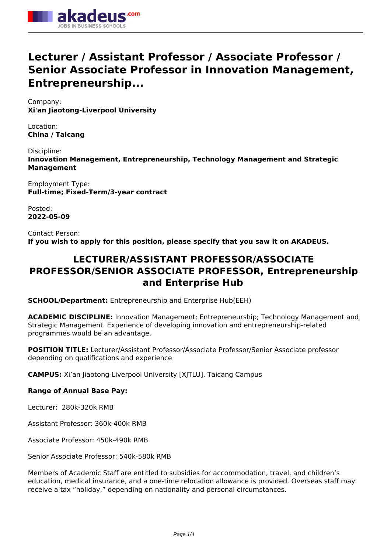

# **Lecturer / Assistant Professor / Associate Professor / Senior Associate Professor in Innovation Management, Entrepreneurship...**

Company: **Xi'an Jiaotong-Liverpool University**

Location: **China / Taicang**

Discipline: **Innovation Management, Entrepreneurship, Technology Management and Strategic Management**

Employment Type: **Full-time; Fixed-Term/3-year contract**

Posted: **2022-05-09**

Contact Person: **If you wish to apply for this position, please specify that you saw it on AKADEUS.**

# **LECTURER/ASSISTANT PROFESSOR/ASSOCIATE PROFESSOR/SENIOR ASSOCIATE PROFESSOR, Entrepreneurship and Enterprise Hub**

**SCHOOL/Department:** Entrepreneurship and Enterprise Hub(EEH)

**ACADEMIC DISCIPLINE:** Innovation Management; Entrepreneurship; Technology Management and Strategic Management. Experience of developing innovation and entrepreneurship-related programmes would be an advantage.

**POSITION TITLE:** Lecturer/Assistant Professor/Associate Professor/Senior Associate professor depending on qualifications and experience

**CAMPUS:** Xi'an Jiaotong-Liverpool University [XJTLU], Taicang Campus

# **Range of Annual Base Pay:**

Lecturer: 280k-320k RMB

Assistant Professor: 360k-400k RMB

Associate Professor: 450k-490k RMB

Senior Associate Professor: 540k-580k RMB

Members of Academic Staff are entitled to subsidies for accommodation, travel, and children's education, medical insurance, and a one-time relocation allowance is provided. Overseas staff may receive a tax "holiday," depending on nationality and personal circumstances.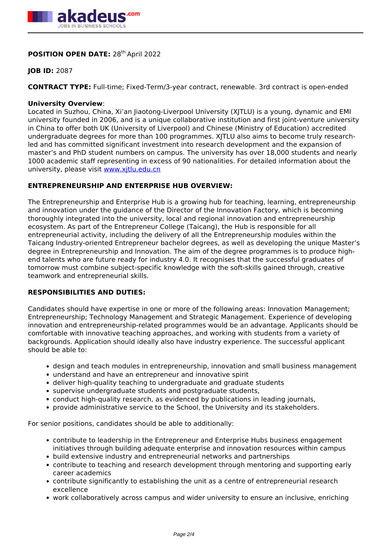

# **POSITION OPEN DATE: 28<sup>th</sup> April 2022**

# **JOB ID:** 2087

**CONTRACT TYPE:** Full-time; Fixed-Term/3-year contract, renewable. 3rd contract is open-ended

#### **University Overview**:

Located in Suzhou, China, Xi'an Jiaotong-Liverpool University (XJTLU) is a young, dynamic and EMI university founded in 2006, and is a unique collaborative institution and first joint-venture university in China to offer both UK (University of Liverpool) and Chinese (Ministry of Education) accredited undergraduate degrees for more than 100 programmes. XJTLU also aims to become truly researchled and has committed significant investment into research development and the expansion of master's and PhD student numbers on campus. The university has over 18,000 students and nearly 1000 academic staff representing in excess of 90 nationalities. For detailed information about the university, please visit [www.xjtlu.edu.cn](http://www.xjtlu.edu.cn)

# **ENTREPRENEURSHIP AND ENTERPRISE HUB OVERVIEW:**

The Entrepreneurship and Enterprise Hub is a growing hub for teaching, learning, entrepreneurship and innovation under the guidance of the Director of the Innovation Factory, which is becoming thoroughly integrated into the university, local and regional innovation and entrepreneurship ecosystem. As part of the Entrepreneur College (Taicang), the Hub is responsible for all entrepreneurial activity, including the delivery of all the Entrepreneurship modules within the Taicang Industry-oriented Entrepreneur bachelor degrees, as well as developing the unique Master's degree in Entrepreneurship and Innovation. The aim of the degree programmes is to produce highend talents who are future ready for industry 4.0. It recognises that the successful graduates of tomorrow must combine subject-specific knowledge with the soft-skills gained through, creative teamwork and entrepreneurial skills.

# **RESPONSIBILITIES AND DUTIES:**

Candidates should have expertise in one or more of the following areas: Innovation Management; Entrepreneurship; Technology Management and Strategic Management. Experience of developing innovation and entrepreneurship-related programmes would be an advantage. Applicants should be comfortable with innovative teaching approaches, and working with students from a variety of backgrounds. Application should ideally also have industry experience. The successful applicant should be able to:

- design and teach modules in entrepreneurship, innovation and small business management
- understand and have an entrepreneur and innovative spirit
- deliver high-quality teaching to undergraduate and graduate students
- supervise undergraduate students and postgraduate students,
- conduct high-quality research, as evidenced by publications in leading journals,
- provide administrative service to the School, the University and its stakeholders.

For senior positions, candidates should be able to additionally:

- contribute to leadership in the Entrepreneur and Enterprise Hubs business engagement initiatives through building adequate enterprise and innovation resources within campus
- build extensive industry and entrepreneurial networks and partnerships
- contribute to teaching and research development through mentoring and supporting early career academics
- contribute significantly to establishing the unit as a centre of entrepreneurial research excellence
- work collaboratively across campus and wider university to ensure an inclusive, enriching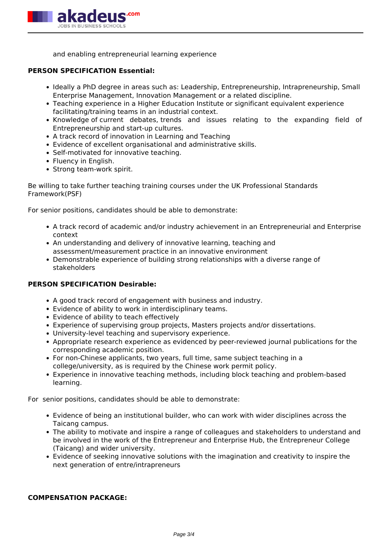

and enabling entrepreneurial learning experience

#### **PERSON SPECIFICATION Essential:**

- Ideally a PhD degree in areas such as: Leadership, Entrepreneurship, Intrapreneurship, Small Enterprise Management, Innovation Management or a related discipline.
- Teaching experience in a Higher Education Institute or significant equivalent experience facilitating/training teams in an industrial context.
- Knowledge of current debates, trends and issues relating to the expanding field of Entrepreneurship and start-up cultures.
- A track record of innovation in Learning and Teaching
- Evidence of excellent organisational and administrative skills.
- Self-motivated for innovative teaching.
- Fluency in English.
- Strong team-work spirit.

Be willing to take further teaching training courses under the UK Professional Standards Framework(PSF)

For senior positions, candidates should be able to demonstrate:

- A track record of academic and/or industry achievement in an Entrepreneurial and Enterprise context
- An understanding and delivery of innovative learning, teaching and assessment/measurement practice in an innovative environment
- Demonstrable experience of building strong relationships with a diverse range of stakeholders

#### **PERSON SPECIFICATION Desirable:**

- A good track record of engagement with business and industry.
- Evidence of ability to work in interdisciplinary teams.
- Evidence of ability to teach effectively
- Experience of supervising group projects, Masters projects and/or dissertations.
- University-level teaching and supervisory experience.
- Appropriate research experience as evidenced by peer-reviewed journal publications for the corresponding academic position.
- For non-Chinese applicants, two years, full time, same subject teaching in a college/university, as is required by the Chinese work permit policy.
- Experience in innovative teaching methods, including block teaching and problem-based learning.

For senior positions, candidates should be able to demonstrate:

- Evidence of being an institutional builder, who can work with wider disciplines across the Taicang campus.
- The ability to motivate and inspire a range of colleagues and stakeholders to understand and be involved in the work of the Entrepreneur and Enterprise Hub, the Entrepreneur College (Taicang) and wider university.
- Evidence of seeking innovative solutions with the imagination and creativity to inspire the next generation of entre/intrapreneurs

#### **COMPENSATION PACKAGE:**